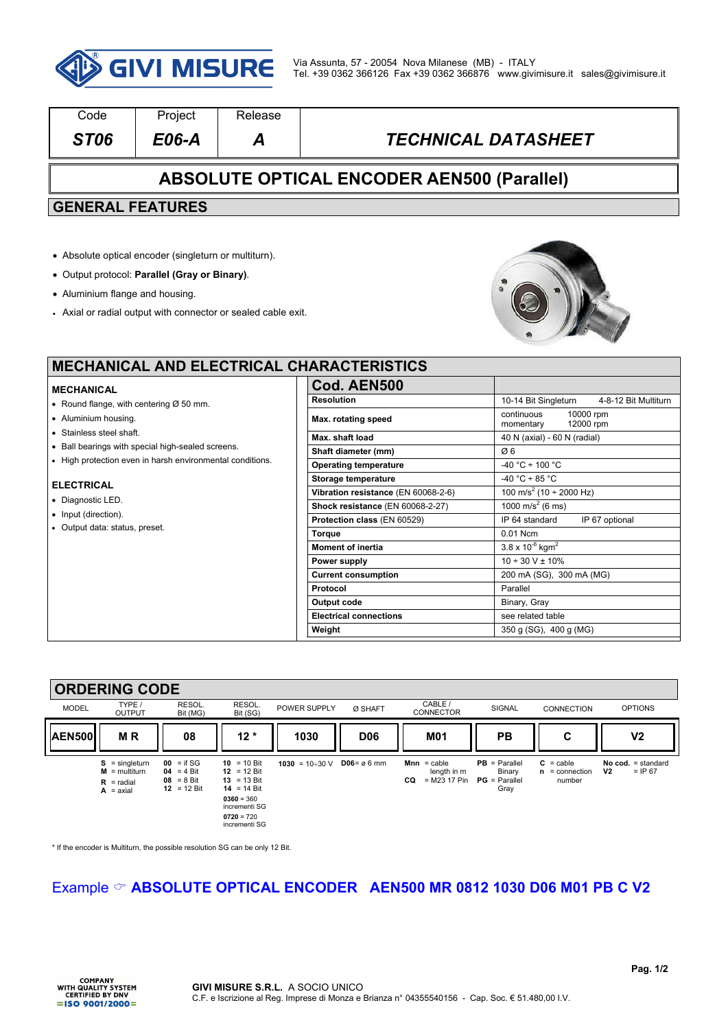

| Code                                                                                             | Project                                                       | Release                    |                                                   |                                              |  |
|--------------------------------------------------------------------------------------------------|---------------------------------------------------------------|----------------------------|---------------------------------------------------|----------------------------------------------|--|
| <b>ST06</b>                                                                                      | $E06-A$                                                       | A                          | <b>TECHNICAL DATASHEET</b>                        |                                              |  |
|                                                                                                  |                                                               |                            | <b>ABSOLUTE OPTICAL ENCODER AEN500 (Parallel)</b> |                                              |  |
| <b>GENERAL FEATURES</b>                                                                          |                                                               |                            |                                                   |                                              |  |
|                                                                                                  |                                                               |                            |                                                   |                                              |  |
|                                                                                                  | • Absolute optical encoder (singleturn or multiturn).         |                            |                                                   |                                              |  |
|                                                                                                  | • Output protocol: Parallel (Gray or Binary).                 |                            |                                                   |                                              |  |
| • Aluminium flange and housing.                                                                  |                                                               |                            |                                                   |                                              |  |
|                                                                                                  |                                                               |                            |                                                   |                                              |  |
|                                                                                                  | • Axial or radial output with connector or sealed cable exit. |                            |                                                   |                                              |  |
|                                                                                                  |                                                               |                            |                                                   |                                              |  |
|                                                                                                  |                                                               |                            |                                                   |                                              |  |
|                                                                                                  |                                                               |                            | <b>MECHANICAL AND ELECTRICAL CHARACTERISTICS</b>  |                                              |  |
| <b>MECHANICAL</b>                                                                                |                                                               |                            | Cod. AEN500                                       |                                              |  |
| • Round flange, with centering $Ø$ 50 mm.                                                        |                                                               |                            | <b>Resolution</b>                                 | 10-14 Bit Singleturn<br>4-8-12 Bit Multiturn |  |
| • Aluminium housing.                                                                             |                                                               | Max. rotating speed        | 10000 rpm<br>continuous<br>12000 rpm<br>momentary |                                              |  |
| • Stainless steel shaft.                                                                         |                                                               |                            | Max. shaft load                                   | 40 N (axial) - 60 N (radial)                 |  |
| • Ball bearings with special high-sealed screens.                                                |                                                               |                            | Shaft diameter (mm)                               | Ø6                                           |  |
| • High protection even in harsh environmental conditions.                                        |                                                               |                            | <b>Operating temperature</b>                      | $-40 °C \div 100 °C$                         |  |
|                                                                                                  |                                                               |                            | Storage temperature                               | $-40 °C \div 85 °C$                          |  |
| <b>ELECTRICAL</b><br>• Diagnostic LED.<br>• Input (direction).<br>• Output data: status, preset. |                                                               |                            | Vibration resistance (EN 60068-2-6)               | 100 m/s <sup>2</sup> (10 ÷ 2000 Hz)          |  |
|                                                                                                  |                                                               |                            | Shock resistance (EN 60068-2-27)                  | 1000 m/s <sup>2</sup> (6 ms)                 |  |
|                                                                                                  |                                                               |                            | Protection class (EN 60529)                       | IP 64 standard<br>IP 67 optional             |  |
|                                                                                                  |                                                               |                            | <b>Torque</b>                                     | 0.01 Ncm                                     |  |
|                                                                                                  |                                                               |                            | <b>Moment of inertia</b>                          | $3.8 \times 10^{-6}$ kgm <sup>2</sup>        |  |
|                                                                                                  |                                                               |                            | Power supply                                      | $10 \div 30$ V ± 10%                         |  |
|                                                                                                  |                                                               | <b>Current consumption</b> | 200 mA (SG), 300 mA (MG)                          |                                              |  |
|                                                                                                  |                                                               |                            | Protocol                                          | Parallel                                     |  |
|                                                                                                  |                                                               |                            | <b>Output code</b>                                | Binary, Gray                                 |  |
|                                                                                                  |                                                               |                            | <b>Electrical connections</b>                     | see related table                            |  |
|                                                                                                  |                                                               |                            | Weight                                            | 350 g (SG), 400 g (MG)                       |  |

#### **ORDERING CODE**  MODEL TYPE / OUTPUT RESOL. Bit (MG) RESOL.<br>Bit (SG) BOWER SUPPLY Ø SHAFT CABLE CABLE / SIGNAL CONNECTION OPTIONS AEN500|| M<sup>R</sup> || 08 || 12 \* || 1030 || D06 || M01 || PB || C || V2 **S** = singleturn **M** = multiturn **R** = radial **A** = axial **00** = if SG **04** = 4 Bit **08** = 8 Bit **12** = 12 Bit **10** = 10 Bit **12** = 12 Bit **13** = 13 Bit  $14 = 14 \text{ Bit}$ **0360** = 360 incrementi SG **0720** = 720 incrementi SG **1030** = 10÷30 V **D06** = ø 6 mm **Mnn** = cable length in m **CQ** = M23 17 Pin **PB** = Parallel Binary **PG** = Parallel Gray **C** = cable **n** = connection number **No cod.** = standard **V2** = IP 67

\* If the encoder is Multiturn, the possible resolution SG can be only 12 Bit.

### Example & **ABSOLUTE OPTICAL ENCODER AEN500 MR 0812 1030 D06 M01 PB C V2**